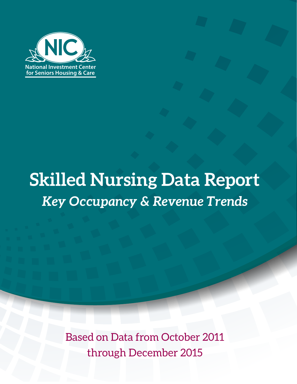

# **Skilled Nursing Data Report** *Key Occupancy & Revenue Trends*

Based on Data from October 2011 through December 2015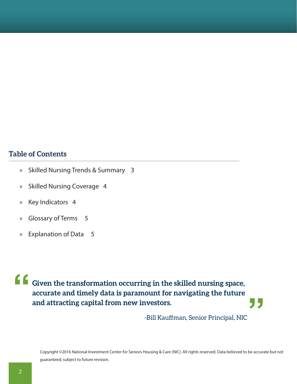# **Table of Contents**

- » [Skilled Nursing Trends](#page-2-0) & Summary [3](#page-2-0)
- » Skilled Nursing Coverag[e 4](#page-3-0)
- » Key Indicator[s 4](#page-3-0)
- » [Glossary of Terms 5](#page-4-0)
- » [Explanation of Data 5](#page-4-0)

#### **Given the transformation occurring in the skilled nursing space, accurate and timely data is paramount for navigating the future and attracting capital from new investors. " "**

-Bill Kauffman, Senior Principal, NIC

Copyright ©2016 National Investment Center for Seniors Housing & Care (NIC). All rights reserved. Data believed to be accurate but not guaranteed; subject to future revision.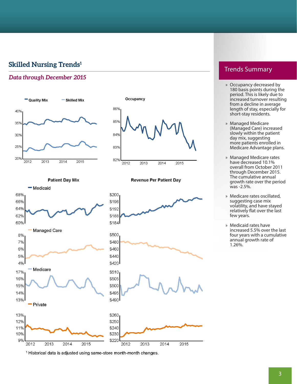# <span id="page-2-0"></span>**Skilled Nursing Trends1**

#### *Data through December 2015*



86% 85% 84% 83% 82%  $2012$  $2013$  $2014$  $2015$ 

**Revenue Per Patient Day** 

Occupancy

**Patient Day Mix** 



<sup>1</sup> Historical data is adjusted using same-store month-month changes.

## Trends Summary

- » Occupancy decreased by 180 basis points during the period. This is likely due to increased turnover resulting from a decline in average length of stay, especially for short-stay residents.
- » Managed Medicare (Managed Care) increased slowly within the patient day mix, suggesting more patients enrolled in Medicare Advantage plans.
- » Managed Medicare rates have decreased 10.1% overall from October 2011 through December 2015. The cumulative annual growth rate over the period was -2.5%.
- » Medicare rates oscillated, suggesting case mix volatility, and have stayed relatively flat over the last few years.
- » Medicaid rates have increased 5.5% over the last four years with a cumulative annual growth rate of 1.26%.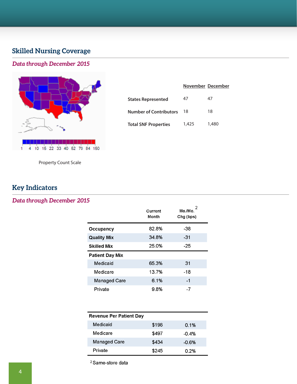# <span id="page-3-0"></span>**Skilled Nursing Coverage**

#### *Data through December 2015*



|                               |       | November December |
|-------------------------------|-------|-------------------|
| <b>States Represented</b>     | 47    | 47                |
| <b>Number of Contributors</b> | 18    | 18                |
| <b>Total SNF Properties</b>   | 1,425 | 1,480             |

Property Count Scale

# **Key Indicators**

#### *Data through December 2015*

|                    | Current<br>Month | 2<br>Mo./Mo.<br>Chg (bps) |
|--------------------|------------------|---------------------------|
| Occupancy          | 82.8%            | -38                       |
| <b>Quality Mix</b> | 34.8%            | -31                       |
| Skilled Mix        | 25.0%            | $-25$                     |
| Patient Day Mix    |                  |                           |
| Medicaid           | 65.3%            | 31                        |
| Medicare           | 13.7%            | $-18$                     |
| Managed Care       | 6.1%             | $-1$                      |
| Private            | 9.8%             | $-7$                      |

| <b>Revenue Per Patient Day</b> |       |         |
|--------------------------------|-------|---------|
| Medicaid                       | \$198 | 0.1%    |
| Medicare                       | \$497 | -0.4%   |
| Managed Care                   | \$434 | $-0.6%$ |
| Private                        | \$245 | በ 2%    |

<sup>2</sup> Same-store data